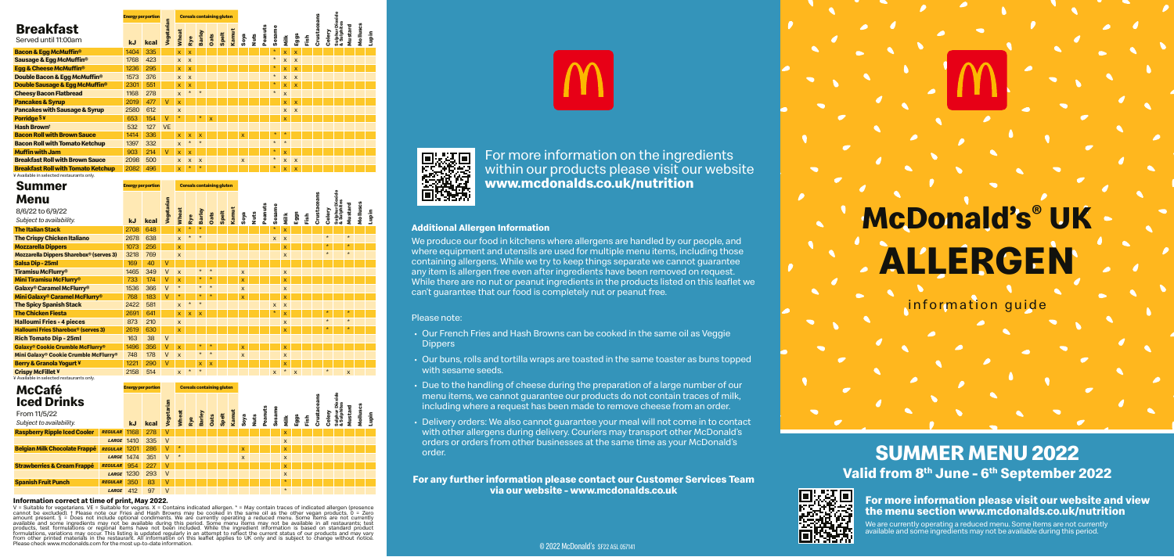#### © 2022 McDonald's SF22 A5L 057141

#### **Information correct at time of print, May 2022.**

V = Suitable for vegetarians. VE = Suitable for vegans. X = Contains indicated allergen. \* = May contain traces of indicated allergen (presence<br>cannot be excluded), † Please note our Fries and Hash Browns may be cooked in ariations may occur. This listing is updated regularly in an attempt to reflect the current status of our products and may vary from other printed materials in the restaurant. All information on this leaflet applies to UK only and is subject to change without notice. Please check www.mcdonalds.com for the most up-to-date information.



## **SUMMER MENU 2022 Valid from 8th June - 6th September 2022**

**For more information please visit our website and view the menu section www.mcdonalds.co.uk/nutrition**

We are currently operating a reduced menu. Some items are not currently available and some ingredients may not be available during this period.

information guide

# **ALLERGEN McDonald's® UK**

## **Breakfast**

We produce our food in kitchens where allergens are handled by our people, and where equipment and utensils are used for multiple menu items, including those containing allergens. While we try to keep things separate we cannot guarantee any item is allergen free even after ingredients have been removed on request. While there are no nut or peanut ingredients in the products listed on this leaflet we can't guarantee that our food is completely nut or peanut free.

|                                             | <b>Energy per portion</b> |      |            |              |                           |                           |      | <b>Cereals containing gluten</b> |       |                         |             |         |         |                         |                           |      |        |        | Dioxide                    |             |          |       |
|---------------------------------------------|---------------------------|------|------------|--------------|---------------------------|---------------------------|------|----------------------------------|-------|-------------------------|-------------|---------|---------|-------------------------|---------------------------|------|--------|--------|----------------------------|-------------|----------|-------|
| <b>Breakfast</b><br>Served until 11:00am    | <b>kJ</b>                 | kcal | Vegetarian | Wheat        | Rye                       | Barley                    | Oats | Spelt                            | Kamut | Soya                    | <b>Nuts</b> | Peanuts | Sesame  | Milk                    | Eggs                      | Fish | Crusta | Celery | Sulphur Dic<br>& Sulphites | 짇<br>Mustar | Molluscs | Lupin |
| <b>Bacon &amp; Egg McMuffin<sup>®</sup></b> | 1404                      | 335  |            | $\mathsf{x}$ | $\overline{\mathsf{x}}$   |                           |      |                                  |       |                         |             |         | $\star$ | X                       | $\overline{\mathsf{x}}$   |      |        |        |                            |             |          |       |
| Sausage & Egg McMuffin <sup>®</sup>         | 1768                      | 423  |            | $\mathsf{x}$ | $\boldsymbol{\mathsf{x}}$ |                           |      |                                  |       |                         |             |         | $\star$ | $\mathsf{x}$            | $\times$                  |      |        |        |                            |             |          |       |
| Egg & Cheese McMuffin <sup>®</sup>          | 1236                      | 295  |            | $\mathsf X$  | $\mathsf{x}$              |                           |      |                                  |       |                         |             |         | $\ast$  | $\mathsf{x}$            | $\overline{\mathsf{x}}$   |      |        |        |                            |             |          |       |
| Double Bacon & Eqq McMuffin <sup>®</sup>    | 1573                      | 376  |            | $\mathbf{x}$ | $\boldsymbol{\mathsf{x}}$ |                           |      |                                  |       |                         |             |         | $\star$ | $\mathsf{x}$            | $\boldsymbol{\mathsf{x}}$ |      |        |        |                            |             |          |       |
| Double Sausage & Egg McMuffin <sup>®</sup>  | 2301                      | 551  |            | $\mathsf{x}$ | $\mathsf{x}$              |                           |      |                                  |       |                         |             |         | $\ast$  | $\mathsf{x}$            | $\mathsf{x}$              |      |        |        |                            |             |          |       |
| <b>Cheesy Bacon Flatbread</b>               | 1168                      | 278  |            | $\mathsf{x}$ | $\star$                   | $\star$                   |      |                                  |       |                         |             |         | $\star$ | $\overline{\mathsf{x}}$ |                           |      |        |        |                            |             |          |       |
| <b>Pancakes &amp; Syrup</b>                 | 2019                      | 477  | V          | $\mathsf{x}$ |                           |                           |      |                                  |       |                         |             |         |         | X                       | $\overline{\mathsf{x}}$   |      |        |        |                            |             |          |       |
| <b>Pancakes with Sausage &amp; Syrup</b>    | 2580                      | 612  |            | $\mathsf{x}$ |                           |                           |      |                                  |       |                         |             |         |         | $\mathsf{x}$            | $\boldsymbol{\mathsf{x}}$ |      |        |        |                            |             |          |       |
| Porridge <sup>S¥</sup>                      | 653                       | 154  | v          | $\star$      |                           | $\star$                   | X    |                                  |       |                         |             |         |         | $\overline{\mathsf{x}}$ |                           |      |        |        |                            |             |          |       |
| <b>Hash Brownt</b>                          | 532                       | 127  | <b>VE</b>  |              |                           |                           |      |                                  |       |                         |             |         |         |                         |                           |      |        |        |                            |             |          |       |
| <b>Bacon Roll with Brown Sauce</b>          | 1414                      | 336  |            | $\mathsf{x}$ | $\boldsymbol{\mathsf{x}}$ | $\mathbf{x}$              |      |                                  |       | $\overline{\mathsf{x}}$ |             |         | $\ast$  | $\star$                 |                           |      |        |        |                            |             |          |       |
| <b>Bacon Roll with Tomato Ketchup</b>       | 1397                      | 332  |            | $\mathsf{x}$ | $\star$                   | $\star$                   |      |                                  |       |                         |             |         | $\star$ | $\star$                 |                           |      |        |        |                            |             |          |       |
| <b>Muffin with Jam</b>                      | 903                       | 214  | $\vee$     | $\mathsf{x}$ | $\mathsf{x}$              |                           |      |                                  |       |                         |             |         | $\star$ | $\mathsf{x}$            |                           |      |        |        |                            |             |          |       |
| <b>Breakfast Roll with Brown Sauce</b>      | 2098                      | 500  |            | $\mathsf{x}$ | $\mathsf{x}$              | $\boldsymbol{\mathsf{x}}$ |      |                                  |       | $\mathsf{x}$            |             |         | $\star$ | $\mathsf{x}$            | $\boldsymbol{\mathsf{x}}$ |      |        |        |                            |             |          |       |
| <b>Breakfast Roll with Tomato Ketchup</b>   | 2082                      | 496  |            | <b>x</b>     | $\ast$                    | $\star$                   |      |                                  |       |                         |             |         | $\ast$  | $\mathsf{x}$            | $\mathsf{x}$              |      |        |        |                            |             |          |       |

### **McCafé Iced Drinks**

**Energy per portion**

| ---------<br><b>Iced Drinks</b><br>From 11/5/22<br>Subject to availability. |                |                   |      | Vegetarian   | Wheat   | Rye | <b>Barley</b> | <b>Dats</b><br>Spelt | Kamut |              | $\frac{1}{2}$ | Pean | Sesa | Milk                    | Eggs | Fish | ğ | శ్రే |  | į | $\bullet$ |
|-----------------------------------------------------------------------------|----------------|-------------------|------|--------------|---------|-----|---------------|----------------------|-------|--------------|---------------|------|------|-------------------------|------|------|---|------|--|---|-----------|
|                                                                             |                | <b>kJ</b>         | kcal |              |         |     |               |                      |       |              |               |      |      |                         |      |      |   |      |  |   |           |
| <b>Raspberry Ripple Iced Cooler</b>                                         | <b>REGULAR</b> | 1168              | 278  | $\vee$       |         |     |               |                      |       |              |               |      |      | $\mathsf{x}$            |      |      |   |      |  |   |           |
|                                                                             | LARGE          | 1410              | 335  | $\vee$       |         |     |               |                      |       |              |               |      |      | X                       |      |      |   |      |  |   |           |
| <b>Belgian Milk Chocolate Frappé</b>                                        | <b>REGULAR</b> | 1201              | 286  | $\mathbf{V}$ | $\star$ |     |               |                      |       | x            |               |      |      | X                       |      |      |   |      |  |   |           |
|                                                                             |                | <b>LARGE 1474</b> | 351  | $\vee$       | $\star$ |     |               |                      |       | $\mathsf{x}$ |               |      |      | $\mathsf{x}$            |      |      |   |      |  |   |           |
| <b>Strawberries &amp; Cream Frappé</b>                                      | <b>REGULAR</b> | 954               | 227  | V            |         |     |               |                      |       |              |               |      |      | $\overline{\mathsf{x}}$ |      |      |   |      |  |   |           |
|                                                                             | LARGE          | 1230              | 293  | $\vee$       |         |     |               |                      |       |              |               |      |      | $\mathsf{x}$            |      |      |   |      |  |   |           |
| <b>Spanish Fruit Punch</b>                                                  | <b>REGULAR</b> | 350               | 83   | $\vee$       |         |     |               |                      |       |              |               |      |      | $\star$                 |      |      |   |      |  |   |           |
|                                                                             | <b>LARGE</b>   | 412               | 97   | $\vee$       |         |     |               |                      |       |              |               |      |      | $\star$                 |      |      |   |      |  |   |           |

**Cereals containing glute** 

<u>ខ ៖</u>

 For more information on the ingredients within our products please visit our website **www.mcdonalds.co.uk/nutrition** 

#### **Additional Allergen Information**

#### Please note:

- Our French Fries and Hash Browns can be cooked in the same oil as Veggie **Dippers**
- Our buns, rolls and tortilla wraps are toasted in the same toaster as buns topped with sesame seeds.
- Due to the handling of cheese during the preparation of a large number of our menu items, we cannot guarantee our products do not contain traces of milk, including where a request has been made to remove cheese from an order.
- Delivery orders: We also cannot guarantee your meal will not come in to contact with other allergens during delivery. Couriers may transport other McDonald's orders or orders from other businesses at the same time as your McDonald's order.

**For any further information please contact our Customer Services Team via our website - www.mcdonalds.co.uk**



| <b>Summer</b>                                               | <b>Energy per portion</b> |      |            |              |         |               |              | <b>Cereals containing gluten</b> |       |              |           |         |              |                           |                           |      |             |         |                                |              |          |       |
|-------------------------------------------------------------|---------------------------|------|------------|--------------|---------|---------------|--------------|----------------------------------|-------|--------------|-----------|---------|--------------|---------------------------|---------------------------|------|-------------|---------|--------------------------------|--------------|----------|-------|
| Menu                                                        |                           |      |            |              |         |               |              |                                  |       |              |           |         |              |                           |                           |      | Crustaceans |         | Sulphur Dioxide<br>& Sulphites |              |          |       |
| 8/6/22 to 6/9/22<br>Subject to availability.                | <b>kJ</b>                 | kcal | Vegetarian | Wheat        | Rye     | <b>Barley</b> | Oats         | Spelt                            | Kamut | Soya         | Nuts<br>N | Peanuts | Sesame       | Nilk                      | Eggs                      | Fish |             | Celery  |                                | Mustard      | Molluscs | Lupin |
| <b>The Italian Stack</b>                                    | 2708                      | 648  |            | <b>x</b>     | $\star$ | $\star$       |              |                                  |       |              |           |         | $\star$      | $\overline{\mathsf{x}}$   |                           |      |             |         |                                |              |          |       |
| <b>The Crispy Chicken Italiano</b>                          | 2678                      | 638  |            | $\mathsf{x}$ | $\star$ | $\star$       |              |                                  |       |              |           |         | X            | $\boldsymbol{\mathsf{x}}$ |                           |      |             | $\star$ |                                | $\star$      |          |       |
| <b>Mozzarella Dippers</b>                                   | 1073                      | 256  |            | <b>X</b>     |         |               |              |                                  |       |              |           |         |              | $\mathsf{x}$              |                           |      |             | $\star$ |                                | $\star$      |          |       |
| <b>Mozzarella Dippers Sharebox® (serves 3)</b>              | 3218                      | 769  |            | $\mathsf{x}$ |         |               |              |                                  |       |              |           |         |              | $\mathsf{x}$              |                           |      |             | $\star$ |                                | $\star$      |          |       |
| Salsa Dip-25ml                                              | 169                       | 40   | V          |              |         |               |              |                                  |       |              |           |         |              |                           |                           |      |             |         |                                |              |          |       |
| <b>Tiramisu McFlurry<sup>®</sup></b>                        | 1465                      | 349  | $\vee$     | $\mathbf{x}$ |         | $\star$       | $\star$      |                                  |       | $\mathsf{x}$ |           |         |              | $\mathsf{x}$              |                           |      |             |         |                                |              |          |       |
| <b>Mini Tiramisu McFlurry<sup>®</sup></b>                   | 733                       | 174  | V          | $\mathsf{x}$ |         | $\star$       | $\star$      |                                  |       | $\mathsf{x}$ |           |         |              | $\overline{\mathsf{x}}$   |                           |      |             |         |                                |              |          |       |
| Galaxy® Caramel McFlurry®                                   | 1536                      | 366  | $\vee$     | $\star$      |         | $\star$       | $\star$      |                                  |       | $\mathsf{x}$ |           |         |              | $\mathsf{x}$              |                           |      |             |         |                                |              |          |       |
| <b>Mini Galaxy<sup>®</sup> Caramel McFlurry<sup>®</sup></b> | 768                       | 183  | $\vee$     | $\ast$       |         | $\star$       | $\star$      |                                  |       | $\mathbf{x}$ |           |         |              | $\mathsf{x}$              |                           |      |             |         |                                |              |          |       |
| <b>The Spicy Spanish Stack</b>                              | 2422                      | 581  |            | $\mathsf{x}$ | $\star$ | $\star$       |              |                                  |       |              |           |         | X            | $\boldsymbol{\mathsf{x}}$ |                           |      |             |         |                                |              |          |       |
| <b>The Chicken Fiesta</b>                                   | 2691                      | 641  |            | x            | X       | $\mathsf{x}$  |              |                                  |       |              |           |         | $\star$      | X                         |                           |      |             | $\star$ |                                | $\star$      |          |       |
| <b>Halloumi Fries - 4 pieces</b>                            | 873                       | 210  |            | $\mathsf{x}$ |         |               |              |                                  |       |              |           |         |              | $\boldsymbol{\mathsf{x}}$ |                           |      |             | $\star$ |                                | $\star$      |          |       |
| <b>Halloumi Fries Sharebox® (serves 3)</b>                  | 2619                      | 630  |            | x            |         |               |              |                                  |       |              |           |         |              | X                         |                           |      |             | $\star$ |                                | $\star$      |          |       |
| <b>Rich Tomato Dip - 25ml</b>                               | 163                       | 38   | $\vee$     |              |         |               |              |                                  |       |              |           |         |              |                           |                           |      |             |         |                                |              |          |       |
| Galaxy® Cookie Crumble McFlurry®                            | 1496                      | 356  | V          | $\mathsf{x}$ |         | $\ast$        | $\star$      |                                  |       | $\mathsf{x}$ |           |         |              | $\overline{\mathsf{x}}$   |                           |      |             |         |                                |              |          |       |
| Mini Galaxy® Cookie Crumble McFlurry®                       | 748                       | 178  | $\vee$     | $\mathbf{x}$ |         | $\star$       | $\star$      |                                  |       | $\mathsf{x}$ |           |         |              | $\boldsymbol{\mathsf{x}}$ |                           |      |             |         |                                |              |          |       |
| <b>Berry &amp; Granola Yogurt ¥</b>                         | 1221                      | 290  | V          |              |         | X.            | $\mathsf{x}$ |                                  |       |              |           |         |              | X                         |                           |      |             |         |                                |              |          |       |
| <b>Crispy McFillet ¥</b>                                    | 2158                      | 514  |            | $\mathsf{x}$ | $\star$ | $\star$       |              |                                  |       |              |           |         | $\mathsf{x}$ | $\star$                   | $\boldsymbol{\mathsf{x}}$ |      |             | $\star$ |                                | $\mathsf{x}$ |          |       |

Available in selected restaurants only

¥ Available in selected restaurants only.